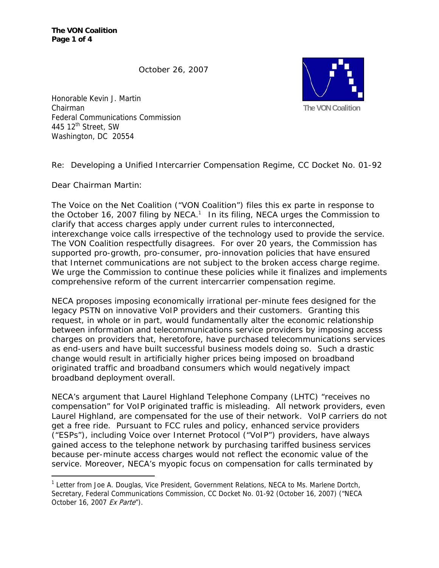**The VON Coalition Page 1 of 4** 

October 26, 2007



Honorable Kevin J. Martin Chairman Federal Communications Commission 445  $12^{\text{th}}$  Street, SW Washington, DC 20554

Re: Developing a Unified Intercarrier Compensation Regime, CC Docket No. 01-92

Dear Chairman Martin:

 $\overline{a}$ 

The Voice on the Net Coalition ("VON Coalition") files this *ex parte* in response to the October 16, 2007 filing by NECA.<sup>1</sup> In its filing, NECA urges the Commission to clarify that access charges apply under current rules to interconnected, interexchange voice calls irrespective of the technology used to provide the service. The VON Coalition respectfully disagrees. For over 20 years, the Commission has supported pro-growth, pro-consumer, pro-innovation policies that have ensured that Internet communications are not subject to the broken access charge regime. We urge the Commission to continue these policies while it finalizes and implements comprehensive reform of the current intercarrier compensation regime.

NECA proposes imposing economically irrational per-minute fees designed for the legacy PSTN on innovative VoIP providers and their customers. Granting this request, in whole or in part, would fundamentally alter the economic relationship between information and telecommunications service providers by imposing access charges on providers that, heretofore, have purchased telecommunications services as end-users and have built successful business models doing so. Such a drastic change would result in artificially higher prices being imposed on broadband originated traffic and broadband consumers which would negatively impact broadband deployment overall.

NECA's argument that Laurel Highland Telephone Company (LHTC) "receives no compensation" for VoIP originated traffic is misleading. All network providers, even Laurel Highland, are compensated for the use of their network. VoIP carriers do not get a free ride. Pursuant to FCC rules and policy, enhanced service providers ("ESPs"), including Voice over Internet Protocol ("VoIP") providers, have always gained access to the telephone network by purchasing tariffed business services because per-minute access charges would not reflect the economic value of the service. Moreover, NECA's myopic focus on compensation for calls terminated by

<sup>&</sup>lt;sup>1</sup> Letter from Joe A. Douglas, Vice President, Government Relations, NECA to Ms. Marlene Dortch, Secretary, Federal Communications Commission, CC Docket No. 01-92 (October 16, 2007) ("NECA October 16, 2007 Ex Parte").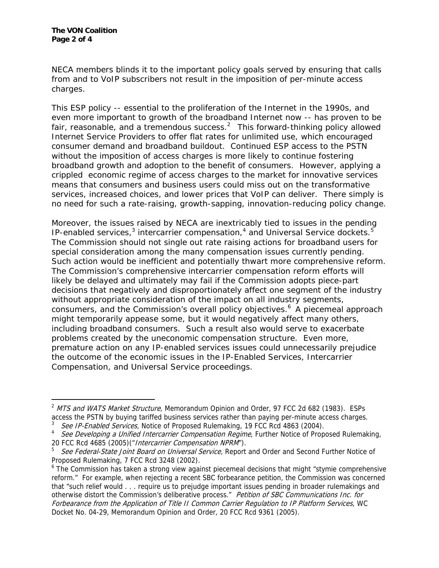$\overline{a}$ 

NECA members blinds it to the important policy goals served by ensuring that calls from and to VoIP subscribers not result in the imposition of per-minute access charges.

This ESP policy -- essential to the proliferation of the Internet in the 1990s, and even more important to growth of the broadband Internet now -- has proven to be fair, reasonable, and a tremendous success.<sup>2</sup> This forward-thinking policy allowed Internet Service Providers to offer flat rates for unlimited use, which encouraged consumer demand and broadband buildout. Continued ESP access to the PSTN without the imposition of access charges is more likely to continue fostering broadband growth and adoption to the benefit of consumers. However, applying a crippled economic regime of access charges to the market for innovative services means that consumers and business users could miss out on the transformative services, increased choices, and lower prices that VoIP can deliver. There simply is no need for such a rate-raising, growth-sapping, innovation-reducing policy change.

Moreover, the issues raised by NECA are inextricably tied to issues in the pending IP-enabled services, $3$  intercarrier compensation, $4$  and Universal Service dockets.<sup>5</sup> The Commission should not single out rate raising actions for broadband users for special consideration among the many compensation issues currently pending. Such action would be inefficient and potentially thwart more comprehensive reform. The Commission's comprehensive intercarrier compensation reform efforts will likely be delayed and ultimately may fail if the Commission adopts piece-part decisions that negatively and disproportionately affect one segment of the industry without appropriate consideration of the impact on all industry segments, consumers, and the Commission's overall policy objectives.6 A piecemeal approach might temporarily appease some, but it would negatively affect many others, including broadband consumers. Such a result also would serve to exacerbate problems created by the uneconomic compensation structure. Even more, premature action on any IP-enabled services issues could unnecessarily prejudice the outcome of the economic issues in the *IP-Enabled Services, Intercarrier Compensation,* and *Universal Service* proceedings.

<sup>&</sup>lt;sup>2</sup> MTS and WATS Market Structure, Memorandum Opinion and Order, 97 FCC 2d 682 (1983). ESPs access the PSTN by buying tariffed business services rather than paying per-minute access charges.

<sup>3</sup> See IP-Enabled Services, Notice of Proposed Rulemaking, 19 FCC Rcd 4863 (2004).

<sup>&</sup>lt;sup>4</sup> See Developing a Unified Intercarrier Compensation Regime, Further Notice of Proposed Rulemaking, 20 FCC Rcd 4685 (2005) ("Intercarrier Compensation NPRM").

<sup>5</sup> See Federal-State Joint Board on Universal Service, Report and Order and Second Further Notice of Proposed Rulemaking, 7 FCC Rcd 3248 (2002).

<sup>&</sup>lt;sup>6</sup> The Commission has taken a strong view against piecemeal decisions that might "stymie comprehensive reform." For example, when rejecting a recent SBC forbearance petition, the Commission was concerned that "such relief would . . . require us to prejudge important issues pending in broader rulemakings and otherwise distort the Commission's deliberative process." Petition of SBC Communications Inc. for Forbearance from the Application of Title II Common Carrier Regulation to IP Platform Services, WC Docket No. 04-29, Memorandum Opinion and Order, 20 FCC Rcd 9361 (2005).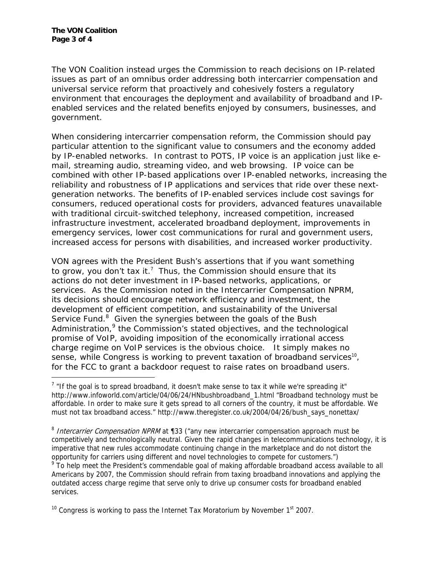$\overline{a}$ 

The VON Coalition instead urges the Commission to reach decisions on IP-related issues as part of an omnibus order addressing both intercarrier compensation and universal service reform that proactively and cohesively fosters a regulatory environment that encourages the deployment and availability of broadband and IPenabled services and the related benefits enjoyed by consumers, businesses, and government.

When considering intercarrier compensation reform, the Commission should pay particular attention to the significant value to consumers and the economy added by IP-enabled networks. In contrast to POTS, IP voice is an application just like email, streaming audio, streaming video, and web browsing. IP voice can be combined with other IP-based applications over IP-enabled networks, increasing the reliability and robustness of IP applications and services that ride over these nextgeneration networks. The benefits of IP-enabled services include cost savings for consumers, reduced operational costs for providers, advanced features unavailable with traditional circuit-switched telephony, increased competition, increased infrastructure investment, accelerated broadband deployment, improvements in emergency services, lower cost communications for rural and government users, increased access for persons with disabilities, and increased worker productivity.

VON agrees with the President Bush's assertions that if you want something to grow, you don't tax it.<sup>7</sup> Thus, the Commission should ensure that its actions do not deter investment in IP-based networks, applications, or services. As the Commission noted in the *Intercarrier Compensation NPRM*, its decisions should encourage network efficiency and investment, the development of efficient competition, and sustainability of the Universal Service Fund.<sup>8</sup> Given the synergies between the goals of the Bush Administration,<sup>9</sup> the Commission's stated objectives, and the technological promise of VoIP, avoiding imposition of the economically irrational access charge regime on VoIP services is the obvious choice. It simply makes no sense, while Congress is working to prevent taxation of broadband services<sup>10</sup>, for the FCC to grant a backdoor request to raise rates on broadband users.

<sup>8</sup> Intercarrier Compensation NPRM at ¶33 ("any new intercarrier compensation approach must be competitively and technologically neutral. Given the rapid changes in telecommunications technology, it is imperative that new rules accommodate continuing change in the marketplace and do not distort the opportunity for carriers using different and novel technologies to compete for customers.") <sup>9</sup> To help meet the President's commendable goal of making affordable broadband access available to all

Americans by 2007, the Commission should refrain from taxing broadband innovations and applying the outdated access charge regime that serve only to drive up consumer costs for broadband enabled services.

 $10$  Congress is working to pass the Internet Tax Moratorium by November  $1<sup>st</sup>$  2007.

 $7$  "If the goal is to spread broadband, it doesn't make sense to tax it while we're spreading it" http://www.infoworld.com/article/04/06/24/HNbushbroadband\_1.html "Broadband technology must be affordable. In order to make sure it gets spread to all corners of the country, it must be affordable. We must not tax broadband access." http://www.theregister.co.uk/2004/04/26/bush\_says\_nonettax/